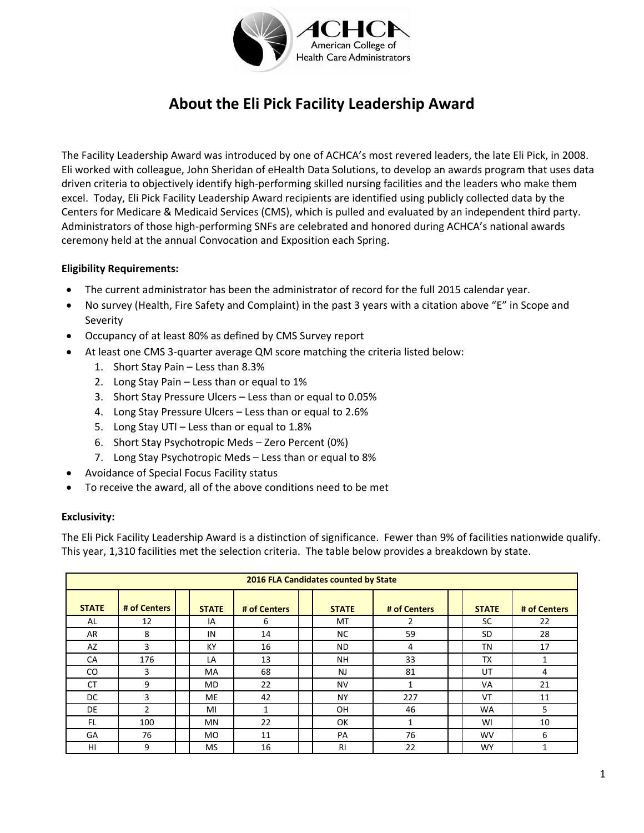

# **About the Eli Pick Facility Leadership Award**

The Facility Leadership Award was introduced by one of ACHCA's most revered leaders, the late Eli Pick, in 2008. Eli worked with colleague, John Sheridan of eHealth Data Solutions, to develop an awards program that uses data driven criteria to objectively identify high-performing skilled nursing facilities and the leaders who make them excel. Today, Eli Pick Facility Leadership Award recipients are identified using publicly collected data by the Centers for Medicare & Medicaid Services (CMS), which is pulled and evaluated by an independent third party. Administrators of those high-performing SNFs are celebrated and honored during ACHCA's national awards ceremony held at the annual Convocation and Exposition each Spring.

### **Eligibility Requirements:**

- The current administrator has been the administrator of record for the full 2015 calendar year.
- No survey (Health, Fire Safety and Complaint) in the past 3 years with a citation above "E" in Scope and Severity
- Occupancy of at least 80% as defined by CMS Survey report
- At least one CMS 3-quarter average QM score matching the criteria listed below:
	- 1. Short Stay Pain Less than 8.3%
	- 2. Long Stay Pain Less than or equal to 1%
	- 3. Short Stay Pressure Ulcers Less than or equal to 0.05%
	- 4. Long Stay Pressure Ulcers Less than or equal to 2.6%
	- 5. Long Stay UTI Less than or equal to 1.8%
	- 6. Short Stay Psychotropic Meds Zero Percent (0%)
	- 7. Long Stay Psychotropic Meds Less than or equal to 8%
- Avoidance of Special Focus Facility status
- To receive the award, all of the above conditions need to be met

#### **Exclusivity:**

The Eli Pick Facility Leadership Award is a distinction of significance. Fewer than 9% of facilities nationwide qualify. This year, 1,310 facilities met the selection criteria. The table below provides a breakdown by state.

| 2016 FLA Candidates counted by State |               |  |              |              |  |              |              |  |              |              |
|--------------------------------------|---------------|--|--------------|--------------|--|--------------|--------------|--|--------------|--------------|
| <b>STATE</b>                         | # of Centers  |  | <b>STATE</b> | # of Centers |  | <b>STATE</b> | # of Centers |  | <b>STATE</b> | # of Centers |
| AL                                   | 12            |  | IA           | 6            |  | МT           | 2            |  | SC           | 22           |
| AR                                   | 8             |  | IN           | 14           |  | <b>NC</b>    | 59           |  | <b>SD</b>    | 28           |
| AZ                                   | 3             |  | KY           | 16           |  | ND.          | 4            |  | ΤN           | 17           |
| CA                                   | 176           |  | LA           | 13           |  | <b>NH</b>    | 33           |  | <b>TX</b>    |              |
| CO.                                  | 3             |  | MA           | 68           |  | NJ           | 81           |  | UT           | 4            |
| <b>CT</b>                            | 9             |  | <b>MD</b>    | 22           |  | <b>NV</b>    | 1            |  | <b>VA</b>    | 21           |
| DC                                   | 3             |  | <b>ME</b>    | 42           |  | NY           | 227          |  | VT           | 11           |
| DE                                   | $\mathcal{P}$ |  | MI           | 1            |  | 0H           | 46           |  | <b>WA</b>    | 5            |
| FL.                                  | 100           |  | MN           | 22           |  | OK           | 1            |  | WI           | 10           |
| GA                                   | 76            |  | <b>MO</b>    | 11           |  | PA           | 76           |  | <b>WV</b>    | 6            |
| HI                                   | 9             |  | <b>MS</b>    | 16           |  | <b>RI</b>    | 22           |  | <b>WY</b>    | 1            |